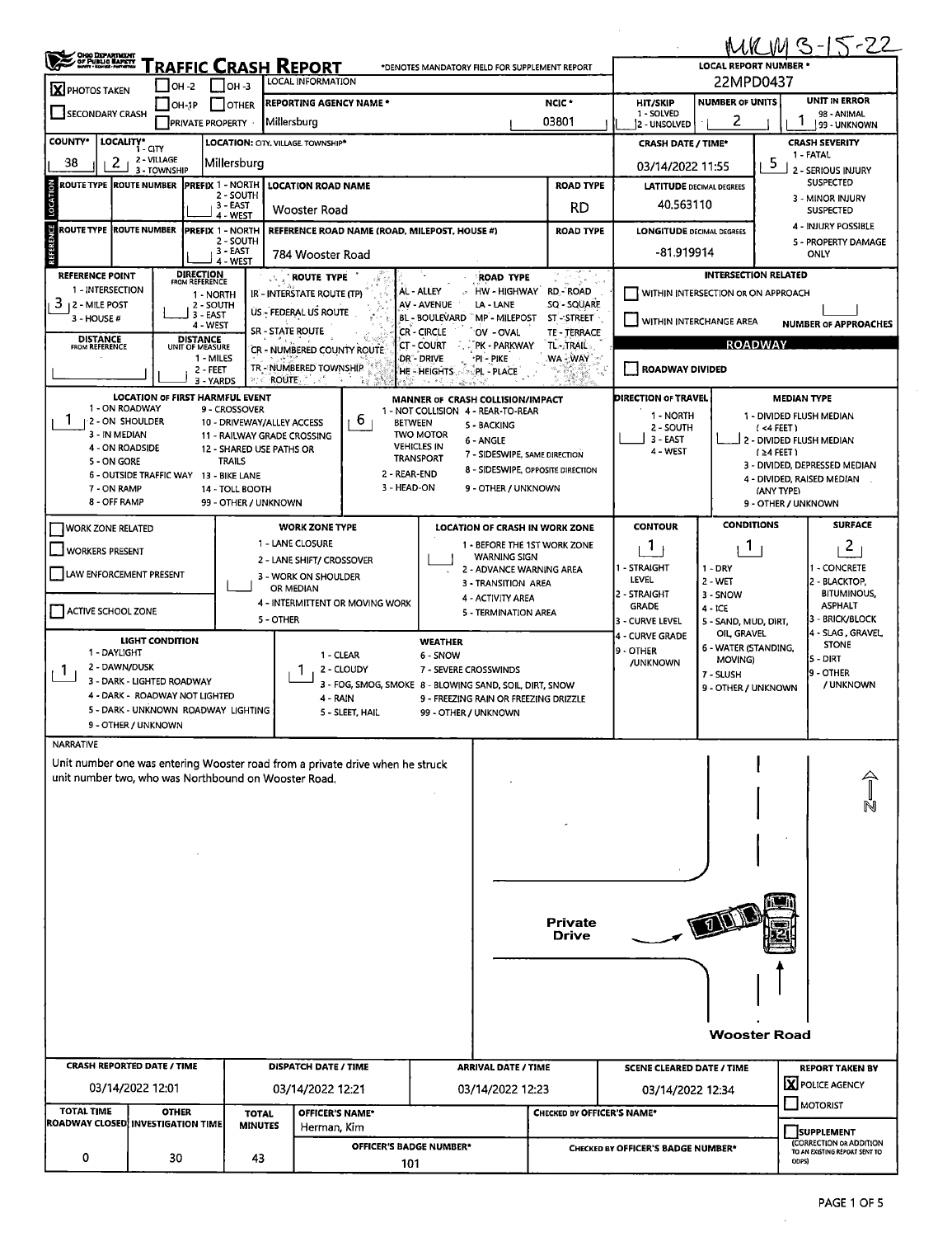|                                                                                                                                       |                                                              |                                                              |                                                                             |                                                         |                                        |                                          |                                                |                  |                                               |                                                           |                                                             | <u>MKMB-15-22</u>                                          |  |  |  |  |
|---------------------------------------------------------------------------------------------------------------------------------------|--------------------------------------------------------------|--------------------------------------------------------------|-----------------------------------------------------------------------------|---------------------------------------------------------|----------------------------------------|------------------------------------------|------------------------------------------------|------------------|-----------------------------------------------|-----------------------------------------------------------|-------------------------------------------------------------|------------------------------------------------------------|--|--|--|--|
| OHOO DEPARTMENT<br>OF PUBLIC BAPETY<br>North Homel Personal<br>Fraffic Crash Report<br>*DENOTES MANDATORY FIELD FOR SUPPLEMENT REPORT |                                                              |                                                              |                                                                             |                                                         |                                        |                                          |                                                |                  |                                               | <b>LOCAL REPORT NUMBER</b>                                |                                                             |                                                            |  |  |  |  |
| X PHOTOS TAKEN                                                                                                                        | $\blacksquare$ OH -2                                         | OH -3                                                        | LOCAL INFORMATION                                                           |                                                         |                                        |                                          |                                                |                  |                                               | 22MPD0437                                                 |                                                             |                                                            |  |  |  |  |
| SECONDARY CRASH                                                                                                                       | OH-1P                                                        | I OTHER<br><b>PRIVATE PROPERTY</b>                           | NCIC <sup>+</sup><br><b>REPORTING AGENCY NAME *</b><br>03801<br>Millersburg |                                                         |                                        |                                          |                                                |                  | <b>HIT/SKIP</b><br>1 - SOLVED<br>2 - UNSOLVED | <b>NUMBER OF UNITS</b><br>2                               |                                                             | <b>UNIT IN ERROR</b><br>98 - ANIMAL<br><b>99 - UNKNOWN</b> |  |  |  |  |
| <b>COUNTY*</b>                                                                                                                        | LOCALITY* GITY                                               |                                                              | LOCATION: CITY. VILLAGE. TOWNSHIP*                                          |                                                         |                                        |                                          | <b>CRASH DATE / TIME*</b>                      |                  |                                               | <b>CRASH SEVERITY</b>                                     |                                                             |                                                            |  |  |  |  |
| 38<br>2 <sub>1</sub>                                                                                                                  | 2 - VILLAGE<br>3 - TOWNSHIP                                  | Millersburg                                                  |                                                                             |                                                         |                                        |                                          |                                                | 03/14/2022 11:55 |                                               | 5                                                         | 1 - FATAL<br>2 - SERIOUS INJURY                             |                                                            |  |  |  |  |
| <b>ROUTE TYPE ROUTE NUMBER</b>                                                                                                        |                                                              | <b>IPREFIX 1 - NORTH</b>                                     |                                                                             | <b>ROAD TYPE</b><br><b>LOCATION ROAD NAME</b>           |                                        |                                          |                                                |                  |                                               | <b>LATITUDE DECIMAL DEGREES</b>                           |                                                             |                                                            |  |  |  |  |
| LOCATION                                                                                                                              |                                                              | 2 - SOUTH<br>3 EAST<br>4 - WEST                              | Wooster Road                                                                |                                                         |                                        |                                          | <b>RD</b>                                      |                  | 40.563110                                     |                                                           |                                                             | 3 - MINOR INJURY<br><b>SUSPECTED</b>                       |  |  |  |  |
| REFERENCE<br><b>ROUTE TYPE ROUTE NUMBER</b>                                                                                           |                                                              | <b>PREFIX 1 - NORTH</b><br>2 - SOUTH<br>3 - EAST<br>4 - WEST | 784 Wooster Road                                                            | REFERENCE ROAD NAME (ROAD, MILEPOST, HOUSE #)           |                                        |                                          | <b>LONGITUDE DECIMAL DEGREES</b><br>-81.919914 |                  |                                               | 4 - INJURY POSSIBLE<br>5 - PROPERTY DAMAGE<br><b>ONLY</b> |                                                             |                                                            |  |  |  |  |
| <b>REFERENCE POINT</b>                                                                                                                | <b>DIRECTION</b><br><b>FROM REFERENCE</b>                    |                                                              | <b>ROUTE TYPE</b>                                                           |                                                         |                                        | <b>ROAD TYPE</b>                         |                                                |                  | <b>INTERSECTION RELATED</b>                   |                                                           |                                                             |                                                            |  |  |  |  |
| 1 - INTERSECTION<br>$3$   2 - MILE POST                                                                                               |                                                              | 1 - NORTH<br>2 - SOUTH                                       | IR - INTERSTATE ROUTE (TP)                                                  |                                                         | AL - ALLEY<br>AV - AVENUE              | LA - LANE                                | NW-HIGHWAY RD-ROAD<br>SQ - SQUARE              |                  | WITHIN INTERSECTION OR ON APPROACH            |                                                           |                                                             |                                                            |  |  |  |  |
| 3 - HOUSE #                                                                                                                           |                                                              | 3 - EAST<br>4 - WEST                                         | US - FEDERAL US ROUTE                                                       |                                                         | BL - BOULEVARD MP - MILEPOST           |                                          | ST-STREET                                      |                  | WITHIN INTERCHANGE AREA                       |                                                           |                                                             |                                                            |  |  |  |  |
| <b>DISTANCE</b>                                                                                                                       | <b>DISTANCE</b>                                              |                                                              | <b>SR - STATE ROUTE</b>                                                     |                                                         | CR - CIRCLE<br><b>CT - COURT</b>       | OV - OVAL<br>PK - PARKWAY                | TE-TERRACE<br>TL-2TRAIL2                       |                  | <b>NUMBER OF APPROACHES</b><br><b>ROADWAY</b> |                                                           |                                                             |                                                            |  |  |  |  |
| FROM REFERENCE                                                                                                                        | UNIT OF MEASURE                                              | 1 - MILES                                                    | CR - NUMBERED COUNTY ROUTE                                                  |                                                         | dr - Drive                             | *PI - PIKE                               | WA - WAY                                       |                  |                                               |                                                           |                                                             |                                                            |  |  |  |  |
|                                                                                                                                       |                                                              | $2 - FEET$<br>3 - YARDS<br>2e + 1                            | TR-NUMBERED TOWNSHIP<br><b>ROUTE</b>                                        | -72<br>- 12                                             | HE - HEIGHTS                           | ನ <b>್ಮPL - PLACE`</b>                   |                                                |                  | <b>ROADWAY DIVIDED</b>                        |                                                           |                                                             |                                                            |  |  |  |  |
| 1 - ON ROADWAY                                                                                                                        | LOCATION OF FIRST HARMFUL EVENT                              |                                                              |                                                                             |                                                         | MANNER OF CRASH COLLISION/IMPACT       |                                          |                                                |                  | DIRECTION OF TRAVEL                           |                                                           |                                                             | <b>MEDIAN TYPE</b>                                         |  |  |  |  |
| 1-2 - ON SHOULDER                                                                                                                     |                                                              | 9 - CROSSOVER<br>10 - DRIVEWAY/ALLEY ACCESS                  |                                                                             | 6<br><b>BETWEEN</b>                                     | 1 - NOT COLLISION 4 - REAR-TO-REAR     | 5 - BACKING                              |                                                |                  | 1 NORTH<br>2 - SOUTH                          |                                                           |                                                             | 1 - DIVIDED FLUSH MEDIAN                                   |  |  |  |  |
| 3 - IN MEDIAN                                                                                                                         |                                                              |                                                              | 11 - RAILWAY GRADE CROSSING                                                 |                                                         | <b>TWO MOTOR</b><br><b>VEHICLES IN</b> | 6 - ANGLE                                |                                                |                  | 3 - EAST                                      |                                                           | $($ <4 FEET)                                                | 2 - DIVIDED FLUSH MEDIAN                                   |  |  |  |  |
| 4 - ON ROADSIDE<br>5 - ON GORE                                                                                                        |                                                              | 12 - SHARED USE PATHS OR<br><b>TRAILS</b>                    |                                                                             |                                                         | <b>TRANSPORT</b>                       | 7 - SIDESWIPE, SAME DIRECTION            |                                                |                  | 4 - WEST                                      |                                                           | (≥4 FEET)                                                   |                                                            |  |  |  |  |
|                                                                                                                                       | 6 - OUTSIDE TRAFFIC WAY 13 - BIKE LANE                       |                                                              |                                                                             | 2 - REAR-END                                            |                                        |                                          | 8 - SIDESWIPE, OPPOSITE DIRECTION              |                  |                                               |                                                           | 3 - DIVIDED, DEPRESSED MEDIAN<br>4 - DIVIDED, RAISED MEDIAN |                                                            |  |  |  |  |
| 7 - ON RAMP<br>8 - OFF RAMP                                                                                                           |                                                              | 14 - TOLL BOOTH<br>99 - OTHER / UNKNOWN                      |                                                                             | 3 - HEAD-ON                                             |                                        | 9 - OTHER / UNKNOWN                      |                                                |                  |                                               |                                                           | (ANY TYPE)<br>9 - OTHER / UNKNOWN                           |                                                            |  |  |  |  |
|                                                                                                                                       |                                                              |                                                              |                                                                             |                                                         |                                        |                                          |                                                |                  |                                               | <b>CONDITIONS</b>                                         |                                                             | <b>SURFACE</b>                                             |  |  |  |  |
| WORK ZONE RELATED                                                                                                                     |                                                              |                                                              | <b>WORK ZONE TYPE</b><br>1 - LANE CLOSURE                                   |                                                         |                                        |                                          | <b>LOCATION OF CRASH IN WORK ZONE</b>          |                  | <b>CONTOUR</b>                                |                                                           |                                                             |                                                            |  |  |  |  |
| <b>WORKERS PRESENT</b>                                                                                                                |                                                              |                                                              | 2 - LANE SHIFT/ CROSSOVER                                                   |                                                         |                                        | <b>WARNING SIGN</b>                      | 1 - BEFORE THE 1ST WORK ZONE                   |                  | Т.                                            | $\mathbf{1}$                                              |                                                             | 2                                                          |  |  |  |  |
| LAW ENFORCEMENT PRESENT                                                                                                               |                                                              |                                                              | 3 - WORK ON SHOULDER                                                        |                                                         |                                        | 2 - ADVANCE WARNING AREA                 |                                                |                  | - STRAIGHT<br>LEVEL                           | $1 - DRY$                                                 |                                                             | 1 - CONCRETE<br>2 - BLACKTOP,                              |  |  |  |  |
|                                                                                                                                       |                                                              |                                                              | OR MEDIAN                                                                   |                                                         |                                        | 3 - TRANSITION AREA<br>4 - ACTIVITY AREA |                                                |                  | 2 - STRAIGHT                                  | 2 WET<br>3 - SNOW                                         |                                                             | <b>BITUMINOUS,</b>                                         |  |  |  |  |
| ACTIVE SCHOOL ZONE                                                                                                                    |                                                              |                                                              | 5 - OTHER                                                                   | 4 - INTERMITTENT OR MOVING WORK                         |                                        | 5 - TERMINATION AREA                     |                                                |                  | <b>GRADE</b>                                  | $4 - ICE$                                                 |                                                             | <b>ASPHALT</b><br>3 - BRICK/BLOCK                          |  |  |  |  |
|                                                                                                                                       |                                                              |                                                              |                                                                             |                                                         |                                        |                                          |                                                |                  | 3 - CURVE LEVEL<br>4 - CURVE GRADE            | 5 - SAND, MUD, DIRT,<br>OIL, GRAVEL                       |                                                             | 4 - SLAG, GRAVEL,                                          |  |  |  |  |
| 1 - DAYLIGHT                                                                                                                          | LIGHT CONDITION                                              |                                                              |                                                                             | 1 - CLEAR                                               | <b>WEATHER</b><br>6 - SNOW             |                                          |                                                |                  | 9 - OTHER                                     | 6 - WATER (STANDING,                                      |                                                             | <b>STONE</b><br>IS - DIRT                                  |  |  |  |  |
| 2 - DAWN/DUSK<br>1.                                                                                                                   |                                                              |                                                              |                                                                             | 2 - CLOUDY                                              | 7 - SEVERE CROSSWINDS                  |                                          |                                                |                  | /UNKNOWN                                      | MOVING)<br>7 - SLUSH                                      |                                                             | 9 - OTHER                                                  |  |  |  |  |
|                                                                                                                                       | 3 - DARK - LIGHTED ROADWAY<br>4 - DARK - ROADWAY NOT LIGHTED |                                                              |                                                                             | 3 - FOG, SMOG, SMOKE 8 - BLOWING SAND, SOIL, DIRT, SNOW |                                        |                                          |                                                |                  |                                               | 9 - OTHER / UNKNOWN                                       |                                                             | / UNKNOWN                                                  |  |  |  |  |
|                                                                                                                                       | 5 - DARK - UNKNOWN ROADWAY LIGHTING                          |                                                              | 4 - RAIN                                                                    | 5 - SLEET, HAIL                                         | 99 - OTHER / UNKNOWN                   |                                          | 9 - FREEZING RAIN OR FREEZING DRIZZLE          |                  |                                               |                                                           |                                                             |                                                            |  |  |  |  |
|                                                                                                                                       | 9 - OTHER / UNKNOWN                                          |                                                              |                                                                             |                                                         |                                        |                                          |                                                |                  |                                               |                                                           |                                                             |                                                            |  |  |  |  |
| <b>NARRATIVE</b>                                                                                                                      |                                                              |                                                              |                                                                             |                                                         |                                        |                                          |                                                |                  |                                               |                                                           |                                                             |                                                            |  |  |  |  |
| Unit number one was entering Wooster road from a private drive when he struck                                                         |                                                              |                                                              |                                                                             |                                                         |                                        |                                          |                                                |                  |                                               |                                                           |                                                             |                                                            |  |  |  |  |
| unit number two, who was Northbound on Wooster Road.                                                                                  |                                                              |                                                              |                                                                             |                                                         |                                        |                                          |                                                |                  |                                               |                                                           |                                                             |                                                            |  |  |  |  |
|                                                                                                                                       |                                                              |                                                              |                                                                             |                                                         |                                        |                                          |                                                |                  |                                               |                                                           |                                                             |                                                            |  |  |  |  |
|                                                                                                                                       |                                                              |                                                              |                                                                             |                                                         |                                        |                                          |                                                |                  |                                               |                                                           |                                                             |                                                            |  |  |  |  |
|                                                                                                                                       |                                                              |                                                              |                                                                             |                                                         |                                        |                                          |                                                |                  |                                               |                                                           |                                                             |                                                            |  |  |  |  |
|                                                                                                                                       |                                                              |                                                              |                                                                             |                                                         |                                        |                                          |                                                |                  |                                               |                                                           |                                                             |                                                            |  |  |  |  |
|                                                                                                                                       |                                                              |                                                              |                                                                             |                                                         |                                        |                                          |                                                |                  |                                               |                                                           |                                                             |                                                            |  |  |  |  |
|                                                                                                                                       |                                                              |                                                              |                                                                             |                                                         |                                        |                                          |                                                |                  |                                               |                                                           |                                                             |                                                            |  |  |  |  |
|                                                                                                                                       |                                                              |                                                              |                                                                             |                                                         |                                        |                                          | <b>Private</b>                                 |                  |                                               |                                                           |                                                             |                                                            |  |  |  |  |
|                                                                                                                                       |                                                              |                                                              |                                                                             |                                                         |                                        | <b>Drive</b>                             |                                                |                  |                                               |                                                           |                                                             |                                                            |  |  |  |  |
|                                                                                                                                       |                                                              |                                                              |                                                                             |                                                         |                                        |                                          |                                                |                  |                                               |                                                           |                                                             |                                                            |  |  |  |  |
|                                                                                                                                       |                                                              |                                                              |                                                                             |                                                         |                                        |                                          |                                                |                  |                                               |                                                           |                                                             |                                                            |  |  |  |  |
|                                                                                                                                       |                                                              |                                                              |                                                                             |                                                         |                                        |                                          |                                                |                  |                                               |                                                           |                                                             |                                                            |  |  |  |  |
|                                                                                                                                       |                                                              |                                                              |                                                                             |                                                         |                                        |                                          |                                                |                  |                                               |                                                           |                                                             |                                                            |  |  |  |  |
|                                                                                                                                       |                                                              |                                                              |                                                                             |                                                         |                                        |                                          |                                                |                  |                                               | <b>Wooster Road</b>                                       |                                                             |                                                            |  |  |  |  |
| <b>CRASH REPORTED DATE / TIME</b>                                                                                                     |                                                              |                                                              |                                                                             | <b>DISPATCH DATE / TIME</b>                             |                                        |                                          | <b>ARRIVAL DATE / TIME</b>                     |                  | <b>SCENE CLEARED DATE / TIME</b>              |                                                           |                                                             | <b>REPORT TAKEN BY</b>                                     |  |  |  |  |
|                                                                                                                                       | 03/14/2022 12:01                                             |                                                              | 03/14/2022 12:21                                                            |                                                         |                                        | 03/14/2022 12:23                         |                                                |                  | 03/14/2022 12:34                              |                                                           |                                                             | X POLICE AGENCY                                            |  |  |  |  |
| <b>TOTAL TIME</b>                                                                                                                     | <b>OTHER</b>                                                 | <b>TOTAL</b>                                                 |                                                                             | OFFICER'S NAME*                                         |                                        |                                          | <b>CHECKED BY OFFICER'S NAME*</b>              |                  |                                               |                                                           |                                                             | $\Box$ MOTORIST                                            |  |  |  |  |
| ROADWAY CLOSED INVESTIGATION TIME                                                                                                     |                                                              | <b>MINUTES</b>                                               |                                                                             | Herman, Kim                                             |                                        |                                          |                                                |                  |                                               |                                                           |                                                             | <b>SUPPLEMENT</b>                                          |  |  |  |  |
|                                                                                                                                       |                                                              |                                                              |                                                                             | <b>OFFICER'S BADGE NUMBER*</b>                          |                                        |                                          |                                                |                  | CHECKED BY OFFICER'S BADGE NUMBER*            |                                                           |                                                             | (CORRECTION OR ADDITION<br>TO AN EXISTING REPORT SENT TO   |  |  |  |  |
| 0                                                                                                                                     | 30                                                           | 43                                                           |                                                                             | 101                                                     |                                        |                                          |                                                |                  |                                               |                                                           |                                                             | ODPS)                                                      |  |  |  |  |

 $\sim$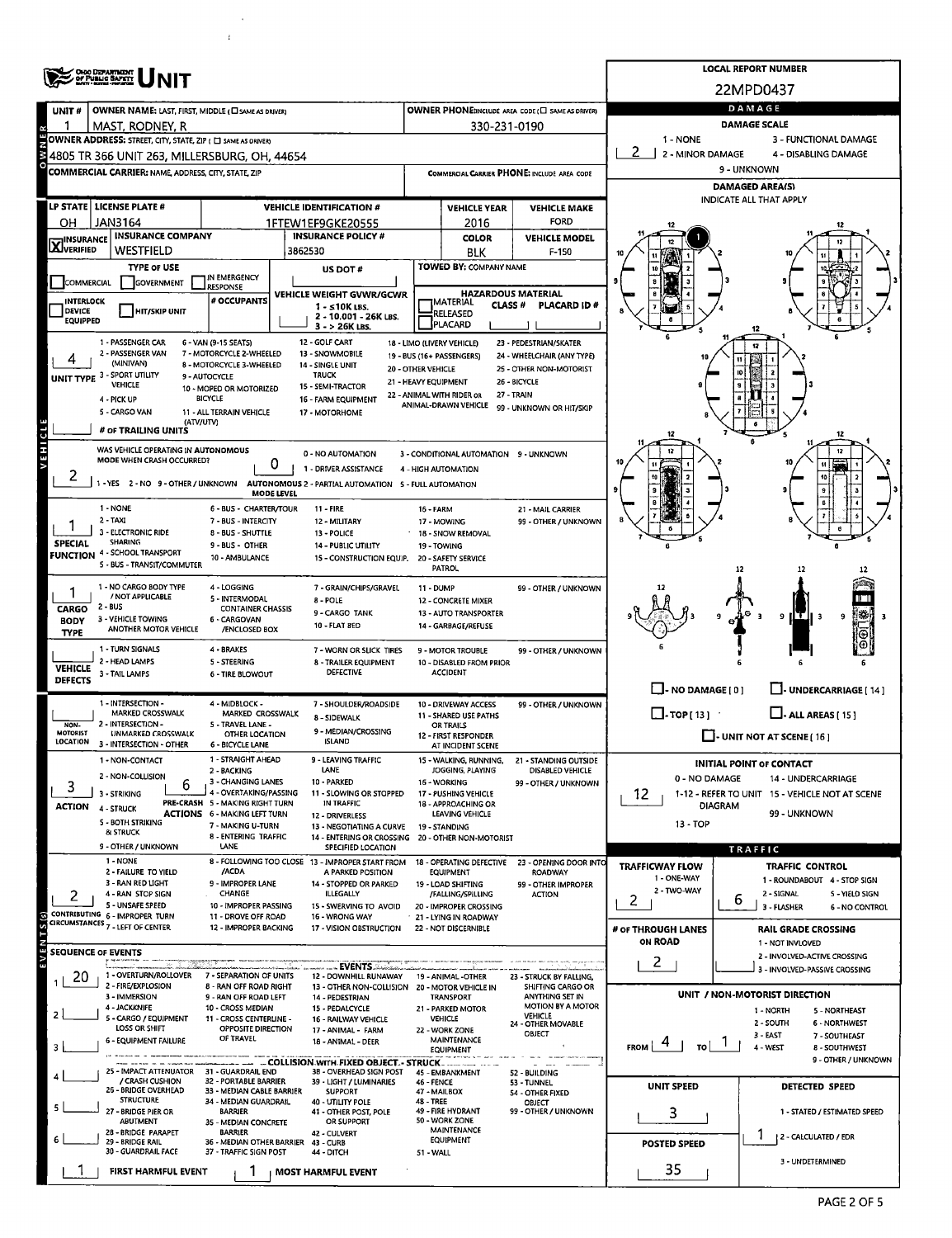|                                                                                                                     | <b>OHIO DEPARTMENT<br/>OF PUBLIC BAFETY</b>                 |                                                           | <b>LOCAL REPORT NUMBER</b>                                                            |                              |                                                 |                                                     |                                                                                       |                                                               |  |  |  |  |  |  |
|---------------------------------------------------------------------------------------------------------------------|-------------------------------------------------------------|-----------------------------------------------------------|---------------------------------------------------------------------------------------|------------------------------|-------------------------------------------------|-----------------------------------------------------|---------------------------------------------------------------------------------------|---------------------------------------------------------------|--|--|--|--|--|--|
|                                                                                                                     |                                                             |                                                           | 22MPD0437                                                                             |                              |                                                 |                                                     |                                                                                       |                                                               |  |  |  |  |  |  |
| UNIT#                                                                                                               | OWNER NAME: LAST, FIRST, MIDDLE (CI SAME AS DRIVER)         |                                                           | OWNER PHONE:INCLUDE AREA CODE (E) SAME AS DRIVER)                                     | DAMAGE                       |                                                 |                                                     |                                                                                       |                                                               |  |  |  |  |  |  |
| 1                                                                                                                   | MAST, RODNEY, R                                             |                                                           |                                                                                       | 330-231-0190                 | <b>DAMAGE SCALE</b>                             |                                                     |                                                                                       |                                                               |  |  |  |  |  |  |
|                                                                                                                     | OWNER ADDRESS: STREET, CITY, STATE, ZIP ( C SAME AS ORIVER) |                                                           |                                                                                       | 1 - NONE<br>2 - MINOR DAMAGE | 3 - FUNCTIONAL DAMAGE                           |                                                     |                                                                                       |                                                               |  |  |  |  |  |  |
|                                                                                                                     | 4805 TR 366 UNIT 263, MILLERSBURG, OH, 44654                |                                                           |                                                                                       |                              | 4 - DISABLING DAMAGE<br>9 - UNKNOWN             |                                                     |                                                                                       |                                                               |  |  |  |  |  |  |
|                                                                                                                     | <b>COMMERCIAL CARRIER: NAME, ADDRESS, CITY, STATE, ZIP</b>  |                                                           |                                                                                       |                              |                                                 | COMMERCIAL CARRIER PHONE: INCLUDE AREA CODE         | <b>DAMAGED AREA(S)</b>                                                                |                                                               |  |  |  |  |  |  |
|                                                                                                                     | LP STATE   LICENSE PLATE #                                  |                                                           |                                                                                       |                              |                                                 |                                                     |                                                                                       | <b>INDICATE ALL THAT APPLY</b>                                |  |  |  |  |  |  |
| он                                                                                                                  | JAN3164                                                     |                                                           | <b>VEHICLE IDENTIFICATION #</b><br>1FTEW1EF9GKE20555                                  |                              | <b>VEHICLE YEAR</b><br>2016                     | <b>VEHICLE MAKE</b><br><b>FORD</b>                  |                                                                                       |                                                               |  |  |  |  |  |  |
|                                                                                                                     | <b>INSURANCE COMPANY</b>                                    |                                                           | <b>INSURANCE POLICY #</b>                                                             |                              | <b>COLOR</b>                                    | <b>VEHICLE MODEL</b>                                |                                                                                       |                                                               |  |  |  |  |  |  |
| <b>X</b> INSURANCE                                                                                                  | Westfield                                                   |                                                           | 3862530                                                                               |                              | BLK                                             | F-150                                               |                                                                                       |                                                               |  |  |  |  |  |  |
|                                                                                                                     | <b>TYPE OF USE</b>                                          | IN EMERGENCY                                              | US DOT#                                                                               |                              | TOWED BY: COMPANY NAME                          |                                                     |                                                                                       |                                                               |  |  |  |  |  |  |
| COMMERCIAL                                                                                                          | <b>GOVERNMENT</b>                                           | <b>RESPONSE</b>                                           | VEHICLE WEIGHT GVWR/GCWR                                                              |                              | <b>HAZARDOUS MATERIAL</b>                       |                                                     | 9                                                                                     |                                                               |  |  |  |  |  |  |
| <b>INTERLOCK</b><br>DEVICE                                                                                          | <b>HIT/SKIP UNIT</b>                                        | # OCCUPANTS                                               | 1 - ≤10K LBS.                                                                         |                              | <b>MATERIAL</b><br><b>CLASS#</b>                | <b>PLACARD ID#</b>                                  |                                                                                       |                                                               |  |  |  |  |  |  |
| <b>EQUIPPED</b>                                                                                                     |                                                             |                                                           | 2 - 10.001 - 26K LBS.<br>3 - > 26K LBS.                                               |                              | RELEASED<br>PLACARD                             |                                                     |                                                                                       |                                                               |  |  |  |  |  |  |
| 1 - PASSENGER CAR<br>6 - VAN (9-15 SEATS)<br>12 - GOLF CART<br>18 - LIMO (LIVERY VEHICLE)<br>23 - PEDESTRIAN/SKATER |                                                             |                                                           |                                                                                       |                              |                                                 |                                                     |                                                                                       |                                                               |  |  |  |  |  |  |
|                                                                                                                     | 2 - PASSENGER VAN<br>(MINIVAN)                              | 7 - MOTORCYCLE 2-WHEELED<br>8 - MOTORCYCLE 3-WHEELED      | 13 - SNOWMOBILE<br>14 - SINGLE UNIT                                                   |                              | 19 - BUS (16+ PASSENGERS)                       | 24 - WHEELCHAIR (ANY TYPE)                          |                                                                                       |                                                               |  |  |  |  |  |  |
|                                                                                                                     | UNIT TYPE 3 - SPORT UTILITY<br><b>VEHICLE</b>               | 9 - AUTOCYCLE                                             | 20 - OTHER VEHICLE<br><b>TRUCK</b><br>21 - HEAVY EQUIPMENT                            |                              |                                                 | 25 - OTHER NON-MOTORIST<br>26 - BICYCLE             |                                                                                       |                                                               |  |  |  |  |  |  |
|                                                                                                                     | 4 - PICK UP                                                 | 10 - MOPED OR MOTORIZED<br>BICYCLE                        | 15 - SEMI-TRACTOR<br>16 - FARM EQUIPMENT                                              |                              | 22 - ANIMAL WITH RIDER OR                       | 27 - TRAIN                                          |                                                                                       |                                                               |  |  |  |  |  |  |
|                                                                                                                     | 5 - CARGO VAN                                               | 11 - ALL TERRAIN VEHICLE                                  | 17 - MOTORHOME                                                                        |                              | ANIMAL-DRAWN VEHICLE                            | 99 - UNKNOWN OR HIT/SKIP                            |                                                                                       |                                                               |  |  |  |  |  |  |
|                                                                                                                     | (ATV/UTV)<br># OF TRAILING UNITS                            |                                                           |                                                                                       |                              |                                                 |                                                     |                                                                                       | 12                                                            |  |  |  |  |  |  |
| <b>VEHICL</b>                                                                                                       | WAS VEHICLE OPERATING IN AUTONOMOUS                         |                                                           | 0 - NO AUTOMATION                                                                     |                              | 3 - CONDITIONAL AUTOMATION 9 - UNKNOWN          |                                                     |                                                                                       | 12                                                            |  |  |  |  |  |  |
|                                                                                                                     | MODE WHEN CRASH OCCURRED?                                   | 0                                                         | 1 - DRIVER ASSISTANCE                                                                 |                              | 4 - HIGH AUTOMATION                             |                                                     |                                                                                       |                                                               |  |  |  |  |  |  |
| ∠                                                                                                                   |                                                             |                                                           | -YES 2 - NO 9 - OTHER / UNKNOWN AUTONOMOUS 2 - PARTIAL AUTOMATION 5 - FULL AUTOMATION |                              |                                                 |                                                     |                                                                                       |                                                               |  |  |  |  |  |  |
|                                                                                                                     |                                                             | <b>MODE LEVEL</b>                                         |                                                                                       |                              |                                                 |                                                     |                                                                                       |                                                               |  |  |  |  |  |  |
|                                                                                                                     | 1 - NONE<br>2 TAXI                                          | 6 - BUS - CHARTER/TOUR<br>7 - BUS - INTERCITY             | <b>11 - FIRE</b><br>12 - MILITARY                                                     | 16 - FARM                    | 17 - MOWING                                     | 21 - MAIL CARRIER<br>99 - OTHER / UNKNOWN           |                                                                                       |                                                               |  |  |  |  |  |  |
|                                                                                                                     | 3 - ELECTRONIC RIDE<br><b>SHARING</b>                       | 8 - BUS - SHUTTLE                                         | 13 - POLICE<br><b>14 - PUBLIC UTILITY</b>                                             |                              | 18 - SNOW REMOVAL<br>19 - TOWING                |                                                     |                                                                                       |                                                               |  |  |  |  |  |  |
| <b>SPECIAL</b>                                                                                                      | <b>FUNCTION 4 - SCHOOL TRANSPORT</b>                        | 9 - BUS - OTHER<br>10 - AMBULANCE                         |                                                                                       |                              |                                                 |                                                     |                                                                                       |                                                               |  |  |  |  |  |  |
|                                                                                                                     | <b>S - BUS - TRANSIT/COMMUTER</b>                           |                                                           | 15 - CONSTRUCTION EQUIP. 20 - SAFETY SERVICE                                          |                              | PATROL                                          |                                                     |                                                                                       |                                                               |  |  |  |  |  |  |
|                                                                                                                     | 1 - NO CARGO BODY TYPE                                      | 4 - LOGGING                                               | 7 - GRAIN/CHIPS/GRAVEL                                                                | 11 - DUMP                    |                                                 | 99 - OTHER / UNKNOWN                                |                                                                                       |                                                               |  |  |  |  |  |  |
| CARGO                                                                                                               | / NOT APPLICABLE<br>2 - BUS                                 | 5 - INTERMODAL<br><b>CONTAINER CHASSIS</b>                | <b>8 - POLE</b><br>9 - CARGO TANK                                                     |                              | 12 - CONCRETE MIXER<br>13 - AUTO TRANSPORTER    |                                                     | 9                                                                                     |                                                               |  |  |  |  |  |  |
| <b>BODY</b>                                                                                                         | 3 - VEHICLE TOWING<br>ANOTHER MOTOR VEHICLE                 | 6 - CARGOVAN<br>/ENCLOSED BOX                             | <b>10 - FLAT BED</b>                                                                  |                              | 9<br>14 - GARBAGE/REFUSE                        |                                                     |                                                                                       |                                                               |  |  |  |  |  |  |
| <b>TYPE</b>                                                                                                         | 1 - TURN SIGNALS                                            | 4 - BRAKES                                                |                                                                                       |                              |                                                 |                                                     |                                                                                       |                                                               |  |  |  |  |  |  |
|                                                                                                                     | 2 - HEAD LAMPS                                              | 5 - STEERING                                              | 7 - WORN OR SLICK TIRES<br>8 - TRAILER EQUIPMENT                                      |                              | 9 - MOTOR TROUBLE<br>10 - DISABLED FROM PRIOR   | 99 - OTHER / UNKNOWN                                |                                                                                       |                                                               |  |  |  |  |  |  |
| <b>VEHICLE</b><br><b>DEFECTS</b>                                                                                    | 3 - TAIL LAMPS                                              | <b>6 - TIRE BLOWOUT</b>                                   | <b>DEFECTIVE</b>                                                                      |                              | <b>ACCIDENT</b>                                 |                                                     |                                                                                       |                                                               |  |  |  |  |  |  |
|                                                                                                                     | 1 - INTERSECTION -                                          | 4 - MIDBLOCK -                                            | 7 - SHOULDER/ROADSIDE                                                                 |                              |                                                 | 99 - OTHER / UNKNOWN                                | $\Box$ - NO DAMAGE [0]                                                                | J- UNDERCARRIAGE [ 14 ]                                       |  |  |  |  |  |  |
|                                                                                                                     | <b>MARKED CROSSWALK</b>                                     | MARKED CROSSWALK                                          | 8 - SIDEWALK                                                                          |                              | 10 - DRIVEWAY ACCESS<br>11 - SHARED USE PATHS   |                                                     | $\Box$ -TOP[13]<br>$\Box$ - ALL AREAS [ 15 ]                                          |                                                               |  |  |  |  |  |  |
| NON-<br><b>MOTORIST</b>                                                                                             | 2 - INTERSECTION -<br><b>UNMARKED CROSSWALK</b>             | 5 - TRAVEL LANE -<br>OTHER LOCATION                       | 9 - MEDIAN/CROSSING                                                                   |                              | OR TRAILS<br>12 - FIRST RESPONDER               |                                                     | $\Box$ - UNIT NOT AT SCENE [ 16 ]                                                     |                                                               |  |  |  |  |  |  |
| LOCATION                                                                                                            | 3 - INTERSECTION - OTHER                                    | <b>6 - BICYCLE LANE</b>                                   | <b>ISLAND</b>                                                                         |                              | AT INCIDENT SCENE                               |                                                     |                                                                                       |                                                               |  |  |  |  |  |  |
|                                                                                                                     | <b>1 - NON-CONTACT</b>                                      | 1 - STRAIGHT AHEAD<br>2 - BACKING                         | - LEAVING TRAFFIC<br>LANE                                                             |                              | 15 - WALKING, RUNNING<br>JOGGING, PLAYING       | <b>21 - STANDING OUTSIDE</b><br>DISABLED VEHICLE    | <b>INITIAL POINT OF CONTACT</b>                                                       |                                                               |  |  |  |  |  |  |
| 3                                                                                                                   | 2 - NON-COLLISION<br>b<br>3 - STRIKING                      | 3 - CHANGING LANES<br>4 - OVERTAKING/PASSING              | 10 - PARKED<br>11 - SLOWING OR STOPPED                                                |                              | 16 - WORKING<br>17 - PUSHING VEHICLE            | 99 - OTHER / UNKNOWN                                | 0 - NO DAMAGE<br>14 - UNDERCARRIAGE<br>1-12 - REFER TO UNIT 15 - VEHICLE NOT AT SCENE |                                                               |  |  |  |  |  |  |
| ACTION                                                                                                              | 4 - STRUCK                                                  | <b>PRE-CRASH 5 - MAKING RIGHT TURN</b>                    | IN TRAFFIC                                                                            |                              | 18 - APPROACHING OR                             |                                                     | 12<br>DIAGRAM                                                                         |                                                               |  |  |  |  |  |  |
|                                                                                                                     | 5 - BOTH STRIKING                                           | <b>ACTIONS 6 - MAKING LEFT TURN</b><br>7 - MAKING U-TURN  | 12 - DRIVERLESS<br>13 - NEGOTIATING A CURVE                                           |                              | LEAVING VEHICLE<br>19 - STANDING                |                                                     | 13 - TOP                                                                              | 99 - UNKNOWN                                                  |  |  |  |  |  |  |
|                                                                                                                     | & STRUCK<br>9 - OTHER / UNKNOWN                             | 8 - ENTERING TRAFFIC<br>LANE                              | 14 - ENTERING OR CROSSING 20 - OTHER NON-MOTORIST                                     |                              |                                                 |                                                     |                                                                                       |                                                               |  |  |  |  |  |  |
|                                                                                                                     | 1 - NONE                                                    |                                                           | SPECIFIED LOCATION<br>8 - FOLLOWING TOO CLOSE 13 - IMPROPER START FROM                |                              |                                                 | 18 - OPERATING DEFECTIVE 23 - OPENING DOOR INTO     |                                                                                       | <b>TRAFFIC</b>                                                |  |  |  |  |  |  |
|                                                                                                                     | 2 - FAILURE TO YIELD<br>3 - RAN RED LIGHT                   | /ACDA<br>9 - IMPROPER LANE                                | A PARKED POSITION                                                                     |                              | <b>EQUIPMENT</b>                                | <b>ROADWAY</b>                                      | <b>TRAFFICWAY FLOW</b><br>1 - ONE-WAY                                                 | <b>TRAFFIC CONTROL</b><br>1 - ROUNDABOUT 4 - STOP SIGN        |  |  |  |  |  |  |
| 2                                                                                                                   | 4 - RAN STOP SIGN                                           | CHANGE                                                    | 14 - STOPPED OR PARKED<br><b>ILLEGALLY</b>                                            |                              | 19 - LOAD SHIFTING<br>/FALLING/SPILLING         | 99 - OTHER IMPROPER<br><b>ACTION</b>                | 2 - TWO-WAY                                                                           | 2 - SIGNAL<br>5 - YIELD SIGN                                  |  |  |  |  |  |  |
|                                                                                                                     | 5 UNSAFE SPEED<br>CONTRIBUTING 6 - IMPROPER TURN            | 10 - IMPROPER PASSING<br>11 - DROVE OFF ROAD              | 15 - SWERVING TO AVOID<br>16 - WRONG WAY                                              |                              | 20 - IMPROPER CROSSING<br>21 - LYING IN ROADWAY |                                                     | $\overline{2}$                                                                        | 6<br>3 - FLASHER<br>6 - NO CONTROL                            |  |  |  |  |  |  |
|                                                                                                                     | CIRCUMSTANCES 7 - LEFT OF CENTER                            | 12 - IMPROPER BACKING                                     | 17 - VISION OBSTRUCTION                                                               |                              | 22 - NOT DISCERNIBLE                            |                                                     | # OF THROUGH LANES                                                                    | RAIL GRADE CROSSING                                           |  |  |  |  |  |  |
|                                                                                                                     | <b>SEQUENCE OF EVENTS</b>                                   |                                                           |                                                                                       |                              |                                                 |                                                     | <b>ON ROAD</b>                                                                        | 1 - NOT INVLOVED                                              |  |  |  |  |  |  |
|                                                                                                                     |                                                             |                                                           | ▁▁ EVENTS▁░▁░▁                                                                        |                              |                                                 |                                                     | 2                                                                                     | 2 - INVOLVED-ACTIVE CROSSING<br>3 - INVOLVED-PASSIVE CROSSING |  |  |  |  |  |  |
| 20                                                                                                                  | 1 - OVERTURN/ROLLOVER<br>2 - FIRE/EXPLOSION                 | 7 - SEPARATION OF UNITS<br>8 - RAN OFF ROAD RIGHT         | 12 - DOWNHILL RUNAWAY<br>13 - OTHER NON-COLLISION 20 - MOTOR VEHICLE IN               |                              | 19 - ANIMAL -OTHER                              | 23 - STRUCK BY FALLING,<br><b>SHIFTING CARGO OR</b> |                                                                                       |                                                               |  |  |  |  |  |  |
|                                                                                                                     | 3 - IMMERSION                                               | 9 - RAN OFF ROAD LEFT                                     | 14 - PEDESTRIAN                                                                       |                              | TRANSPORT                                       | ANYTHING SET IN<br>MOTION BY A MOTOR                |                                                                                       | UNIT / NON-MOTORIST DIRECTION                                 |  |  |  |  |  |  |
| 2                                                                                                                   | 4 - JACKKNIFE<br>5 - CARGO / EQUIPMENT                      | 10 - CROSS MEDIAN<br>11 - CROSS CENTERLINE -              | 15 - PEDALCYCLE<br>16 - RAILWAY VEHICLE                                               |                              | 21 - PARKED MOTOR<br>VEHICLE                    | VEHICLE<br>24 - OTHER MOVABLE                       |                                                                                       | 1 - NORTH<br>5 - NORTHEAST<br>2 - SOUTH<br>6 - NORTHWEST      |  |  |  |  |  |  |
|                                                                                                                     | <b>LOSS OR SHIFT</b><br><b>6 - EQUIPMENT FAILURE</b>        | OPPOSITE DIRECTION<br>OF TRAVEL                           | 17 - ANIMAL - FARM<br>18 - ANIMAL - DEER                                              |                              | 22 - WORK ZONE<br>MAINTENANCE                   | <b>OBJECT</b>                                       |                                                                                       | 3 - LAST<br>7 - SOUTHEAST                                     |  |  |  |  |  |  |
| з                                                                                                                   |                                                             |                                                           |                                                                                       |                              | <b>EQUIPMENT</b>                                |                                                     | FROM<br>TO.                                                                           | 4 - WEST<br><b>8 - SOUTHWEST</b>                              |  |  |  |  |  |  |
|                                                                                                                     | 25 - IMPACT ATTENUATOR                                      | 31 - GUARDRAIL END                                        | - COLLISION WITH FIXED OBJECT - STRUCK<br>38 - OVERHEAD SIGN POST                     |                              | 45 - EMBANKMENT                                 | 52 - BUILDING                                       |                                                                                       | 9 - OTHER / UNKNOWN                                           |  |  |  |  |  |  |
|                                                                                                                     | / CRASH CUSHION<br>26 - BRIDGE OVERHEAD                     | <b>32 - PORTABLE BARRIER</b><br>33 - MEDIAN CABLE BARRIER | 39 - LIGHT / LUMINARIES<br><b>SUPPORT</b>                                             | 46 - FENCE<br>47 - MAILBOX   |                                                 | 53 - TUNNEL<br>54 - OTHER FIXED                     | UNIT SPEED                                                                            | <b>DETECTED SPEED</b>                                         |  |  |  |  |  |  |
|                                                                                                                     | <b>STRUCTURE</b><br>27 - BRIDGE PIER OR                     | 34 - MEDIAN GUARDRAIL<br><b>BARRIER</b>                   | 40 - UTILITY POLE                                                                     | <b>48 - TREE</b>             | 49 - FIRE HYDRANT                               | OBJECT<br>99 - OTHER / UNKNOWN                      |                                                                                       | 1 - STATED / ESTIMATED SPEED                                  |  |  |  |  |  |  |
|                                                                                                                     | <b>ABUTMENT</b>                                             | 35 - MEDIAN CONCRETE                                      | 41 - OTHER POST, POLE<br>OR SUPPORT                                                   |                              | 50 - WORK ZONE                                  |                                                     | з                                                                                     |                                                               |  |  |  |  |  |  |
|                                                                                                                     | 28 - BRIDGE PARAPET<br>29 - BRIDGE RAIL                     | <b>BARRIER</b><br>36 - MEDIAN OTHER BARRIER               | 42 - CULVERT<br>43 - CURB                                                             |                              | MAINTENANCE<br><b>EQUIPMENT</b>                 |                                                     | <b>POSTED SPEED</b>                                                                   | 2 - CALCULATED / EDR                                          |  |  |  |  |  |  |
|                                                                                                                     | 30 - GUARDRAIL FACE                                         | 37 - TRAFFIC SIGN POST                                    | 44 - DITCH                                                                            | 51 - WALL                    |                                                 |                                                     |                                                                                       | 3 - UNDETERMINED                                              |  |  |  |  |  |  |
|                                                                                                                     | FIRST HARMFUL EVENT                                         |                                                           | <b>MOST HARMFUL EVENT</b>                                                             |                              |                                                 |                                                     | 35                                                                                    |                                                               |  |  |  |  |  |  |

 $\hat{\mathcal{A}}$  $\bar{t}$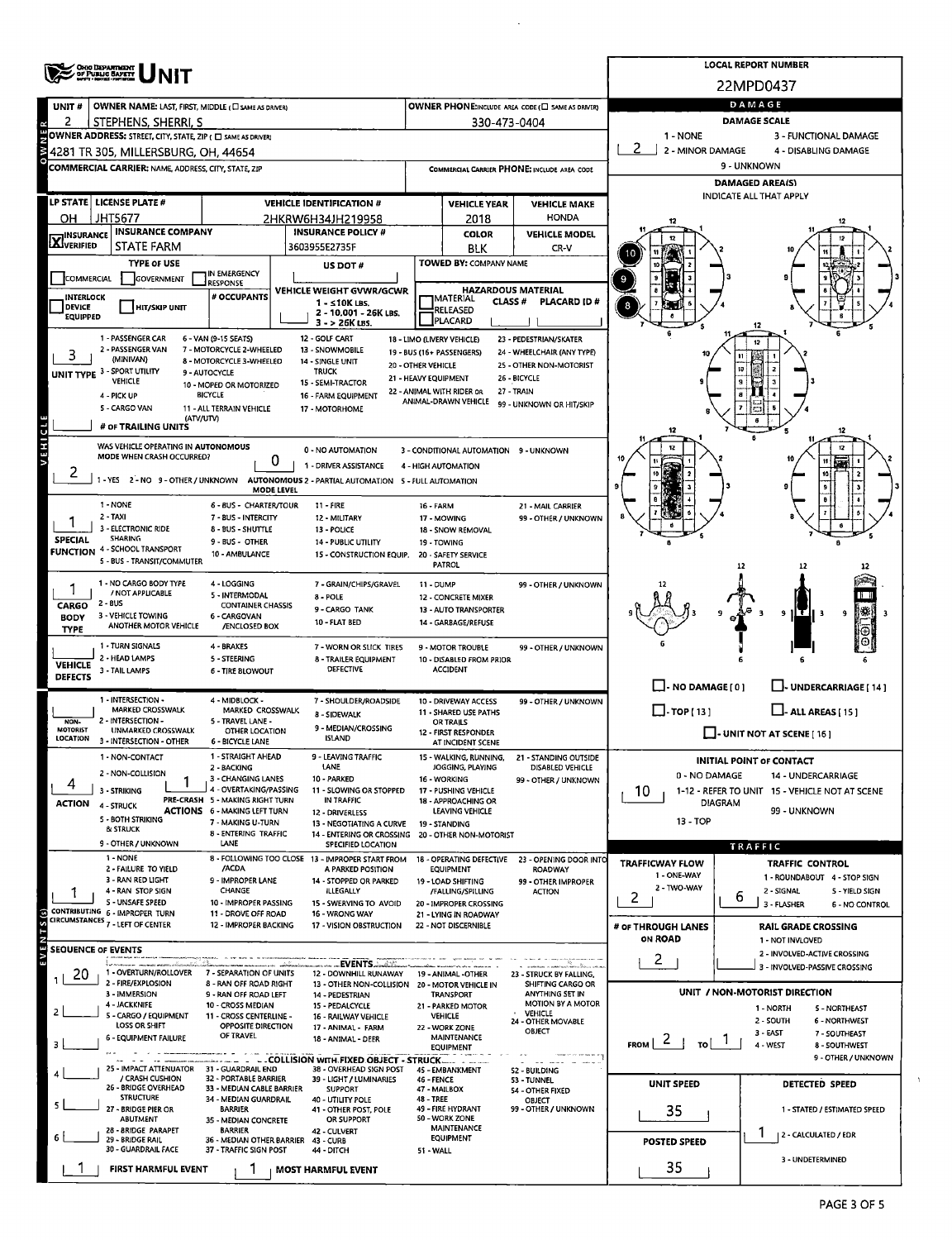|                                                                                                                                                                                                                      | <b>OHIO DEPARTMENT<br/>OF PUBLIC BAYETY</b><br>NOTI - NOTE - FRONT                                 |                                                                                                                 | <b>LOCAL REPORT NUMBER</b>                                                                                    |                                                                                    |                                             |                                                                   |                                                      |                                                                           |  |  |  |  |  |  |
|----------------------------------------------------------------------------------------------------------------------------------------------------------------------------------------------------------------------|----------------------------------------------------------------------------------------------------|-----------------------------------------------------------------------------------------------------------------|---------------------------------------------------------------------------------------------------------------|------------------------------------------------------------------------------------|---------------------------------------------|-------------------------------------------------------------------|------------------------------------------------------|---------------------------------------------------------------------------|--|--|--|--|--|--|
|                                                                                                                                                                                                                      |                                                                                                    |                                                                                                                 |                                                                                                               |                                                                                    |                                             |                                                                   | 22MPD0437                                            |                                                                           |  |  |  |  |  |  |
| UNIT#                                                                                                                                                                                                                | OWNER NAME: LAST, FIRST, MIDDLE ( C SAME AS DRIVER)                                                |                                                                                                                 |                                                                                                               | OWNER PHONE:INCLUDE AREA CODE (C) SAME AS DRIVER)                                  | DAMAGE                                      |                                                                   |                                                      |                                                                           |  |  |  |  |  |  |
| 2                                                                                                                                                                                                                    | STEPHENS, SHERRI, S                                                                                |                                                                                                                 |                                                                                                               | 330-473-0404                                                                       | <b>DAMAGE SCALE</b>                         |                                                                   |                                                      |                                                                           |  |  |  |  |  |  |
|                                                                                                                                                                                                                      | OWNER ADDRESS: STREET, CITY, STATE, ZIP ( C SAME AS DRIVER)<br>4281 TR 305, MILLERSBURG, OH, 44654 |                                                                                                                 |                                                                                                               | 1 - NONE<br>3 - FUNCTIONAL DAMAGE<br>2<br>2 - MINOR DAMAGE<br>4 - DISABLING DAMAGE |                                             |                                                                   |                                                      |                                                                           |  |  |  |  |  |  |
|                                                                                                                                                                                                                      | <b>COMMERCIAL CARRIER: NAME, ADDRESS, CITY, STATE, ZIP</b>                                         |                                                                                                                 |                                                                                                               |                                                                                    |                                             | COMMERCIAL CARRIER PHONE: INCLUDE AREA CODE                       | 9 - UNKNOWN                                          |                                                                           |  |  |  |  |  |  |
|                                                                                                                                                                                                                      |                                                                                                    |                                                                                                                 |                                                                                                               |                                                                                    |                                             |                                                                   | <b>DAMAGED AREA(S)</b>                               |                                                                           |  |  |  |  |  |  |
|                                                                                                                                                                                                                      | LP STATE   LICENSE PLATE #                                                                         |                                                                                                                 | <b>VEHICLE IDENTIFICATION #</b>                                                                               |                                                                                    | <b>VEHICLE YEAR</b>                         | <b>VEHICLE MAKE</b>                                               | INDICATE ALL THAT APPLY                              |                                                                           |  |  |  |  |  |  |
| он                                                                                                                                                                                                                   | <b>JHT5677</b>                                                                                     |                                                                                                                 | 2HKRW6H34JH219958                                                                                             |                                                                                    | 2018                                        | <b>HONDA</b>                                                      |                                                      |                                                                           |  |  |  |  |  |  |
| <b>X</b> INSURANCE                                                                                                                                                                                                   | <b>INSURANCE COMPANY</b>                                                                           |                                                                                                                 | <b>INSURANCE POLICY #</b>                                                                                     |                                                                                    | <b>COLOR</b>                                | <b>VEHICLE MODEL</b>                                              |                                                      |                                                                           |  |  |  |  |  |  |
|                                                                                                                                                                                                                      | <b>STATE FARM</b>                                                                                  |                                                                                                                 | 3603955E2735F                                                                                                 |                                                                                    | <b>BLK</b>                                  | CR-V                                                              |                                                      |                                                                           |  |  |  |  |  |  |
|                                                                                                                                                                                                                      | <b>TYPE OF USE</b><br>GOVERNMENT                                                                   | IN EMERGENCY                                                                                                    | US DOT#                                                                                                       |                                                                                    | TOWED BY: COMPANY NAME                      |                                                                   |                                                      |                                                                           |  |  |  |  |  |  |
| <b>COMMERCIAL</b><br><b>RESPONSE</b><br># OCCUPANTS<br><b>INTERLOCK</b>                                                                                                                                              |                                                                                                    |                                                                                                                 | VEHICLE WEIGHT GVWR/GCWR                                                                                      |                                                                                    |                                             | <b>HAZARDOUS MATERIAL</b>                                         | 9                                                    |                                                                           |  |  |  |  |  |  |
| DEVICE<br><b>HIT/SKIP UNIT</b>                                                                                                                                                                                       |                                                                                                    |                                                                                                                 | 1 - ≤10K LBS.<br>2 - 10.001 - 26K LBS.                                                                        |                                                                                    | MATERIAL<br>CLASS <sup>#</sup><br>RELEASED  | <b>PLACARD ID#</b>                                                | 8                                                    |                                                                           |  |  |  |  |  |  |
| <b>EQUIPPED</b>                                                                                                                                                                                                      |                                                                                                    |                                                                                                                 | 3 - > 26K LBS.                                                                                                |                                                                                    | <b>PLACARD</b>                              |                                                                   |                                                      |                                                                           |  |  |  |  |  |  |
| 1 - PASSENGER CAR<br>12 - GOLF CART<br>6 - VAN (9-15 SEATS)<br>18 - LIMO (LIVERY VEHICLE)<br>23 - PEDESTRIAN/SKATER<br>2 - PASSENGER VAN<br>7 - MOTORCYCLE 2-WHEELED<br>13 - SNOWMOBILE<br>19 - BUS (16+ PASSENGERS) |                                                                                                    |                                                                                                                 |                                                                                                               |                                                                                    |                                             |                                                                   |                                                      |                                                                           |  |  |  |  |  |  |
| 3                                                                                                                                                                                                                    | (MINIVAN)                                                                                          | 8 - MOTORCYCLE 3-WHEELED                                                                                        | 14 - SINGLE UNIT<br><b>TRUCK</b>                                                                              | 20 - OTHER VEHICLE                                                                 |                                             | 24 - WHEELCHAIR (ANY TYPE)<br>25 - OTHER NON-MOTORIST             |                                                      |                                                                           |  |  |  |  |  |  |
|                                                                                                                                                                                                                      | UNIT TYPE 3 - SPORT UTILITY<br>9 - AUTOCYCLE<br><b>VEHICLE</b><br>10 - MOPED OR MOTORIZED          |                                                                                                                 |                                                                                                               |                                                                                    |                                             |                                                                   |                                                      |                                                                           |  |  |  |  |  |  |
|                                                                                                                                                                                                                      | 4 - PICK UP                                                                                        | <b>BICYCLE</b>                                                                                                  | 16 - FARM EQUIPMENT<br>17 - MOTORHOME                                                                         | 22 - ANIMAL WITH RIDER OR                                                          | ANIMAL-DRAWN VEHICLE                        | 27 TRAIN<br>99 - UNKNOWN OR HIT/SKIP                              |                                                      |                                                                           |  |  |  |  |  |  |
|                                                                                                                                                                                                                      | 5 - CARGO VAN<br>11 - ALL TERRAIN VEHICLE<br>(ATV/UTV)                                             |                                                                                                                 |                                                                                                               |                                                                                    |                                             |                                                                   |                                                      |                                                                           |  |  |  |  |  |  |
|                                                                                                                                                                                                                      | # OF TRAILING UNITS                                                                                |                                                                                                                 |                                                                                                               |                                                                                    |                                             |                                                                   | 12                                                   | 12                                                                        |  |  |  |  |  |  |
| <b>THIT</b>                                                                                                                                                                                                          | WAS VEHICLE OPERATING IN AUTONOMOUS<br>MODE WHEN CRASH OCCURRED?                                   |                                                                                                                 | 0 - NO AUTOMATION                                                                                             |                                                                                    | 3 - CONDITIONAL AUTOMATION 9 - UNKNOWN      |                                                                   |                                                      | 12                                                                        |  |  |  |  |  |  |
| 2                                                                                                                                                                                                                    |                                                                                                    |                                                                                                                 | 0<br>1 - DRIVER ASSISTANCE                                                                                    |                                                                                    | 4 - HIGH AUTOMATION                         |                                                                   |                                                      |                                                                           |  |  |  |  |  |  |
|                                                                                                                                                                                                                      |                                                                                                    |                                                                                                                 | 1 - YES 2 - NO 9 - OTHER / UNKNOWN AUTONOMOUS 2 - PARTIAL AUTOMATION 5 - FULL AUTOMATION<br><b>MODE LEVEL</b> |                                                                                    |                                             |                                                                   |                                                      |                                                                           |  |  |  |  |  |  |
|                                                                                                                                                                                                                      | 1 - NONE                                                                                           | 6 - BUS - CHARTER/TOUR                                                                                          | 11 - FIRE                                                                                                     | <b>16 - FARM</b>                                                                   |                                             | 21 - MAIL CARRIER                                                 |                                                      |                                                                           |  |  |  |  |  |  |
|                                                                                                                                                                                                                      | $2 - TAX$<br>3 - ELECTRONIC RIDE                                                                   | 7 - BUS - INTERCITY                                                                                             | 12 - MILITARY                                                                                                 |                                                                                    | 17 - MOWING                                 | 99 - OTHER / UNKNOWN                                              |                                                      |                                                                           |  |  |  |  |  |  |
| <b>SPECIAL</b>                                                                                                                                                                                                       | <b>SHARING</b>                                                                                     | <b>8 - BUS - SHUTTLE</b><br>9 - BUS - OTHER                                                                     | 13 - POLICE<br>14 - PUBLIC UTILITY                                                                            |                                                                                    | 18 - SNOW REMOVAL<br>19 - TOWING            |                                                                   |                                                      |                                                                           |  |  |  |  |  |  |
| <b>FUNCTION 4 - SCHOOL TRANSPORT</b><br>10 - AMBULANCE<br>15 - CONSTRUCTION EQUIP.<br>20 - SAFETY SERVICE<br>5 - BUS - TRANSIT/COMMUTER                                                                              |                                                                                                    |                                                                                                                 |                                                                                                               |                                                                                    |                                             |                                                                   |                                                      |                                                                           |  |  |  |  |  |  |
|                                                                                                                                                                                                                      |                                                                                                    |                                                                                                                 |                                                                                                               |                                                                                    | PATROL                                      |                                                                   |                                                      | 12                                                                        |  |  |  |  |  |  |
|                                                                                                                                                                                                                      | 1 - NO CARGO BODY TYPE<br>/ NOT APPLICABLE                                                         | 4 - LOGGING<br>5 - INTERMODAL                                                                                   | 7 - GRAIN/CHIPS/GRAVEL<br>8 - POLE                                                                            | 11 - DUMP                                                                          | 12 - CONCRETE MIXER                         | 99 - OTHER / UNKNOWN                                              |                                                      |                                                                           |  |  |  |  |  |  |
| 2 - BUS<br><b>CARGO</b><br><b>CONTAINER CHASSIS</b><br>9 - CARGO TANK<br>3 - VEHICLE TOWING<br>6 - CARGOVAN<br><b>BODY</b>                                                                                           |                                                                                                    |                                                                                                                 |                                                                                                               |                                                                                    | 13 - AUTO TRANSPORTER                       |                                                                   | M≫<br>9<br>9<br>.                                    |                                                                           |  |  |  |  |  |  |
| <b>TYPE</b>                                                                                                                                                                                                          | ANOTHER MOTOR VEHICLE                                                                              | <b>/ENCLOSED BOX</b>                                                                                            | 10 - FLAT BED                                                                                                 |                                                                                    | 14 - GARBAGE/REFUSE                         |                                                                   |                                                      | ⊛                                                                         |  |  |  |  |  |  |
|                                                                                                                                                                                                                      | 1 - TURN SIGNALS                                                                                   | 4 - BRAKES                                                                                                      | 7 - WORN OR SLICK TIRES                                                                                       |                                                                                    | 9 - MOTOR TROUBLE                           | 99 - OTHER / UNKNOWN                                              |                                                      |                                                                           |  |  |  |  |  |  |
| <b>VEHICLE</b>                                                                                                                                                                                                       | 2 - HEAD LAMPS<br>3 - TAIL LAMPS                                                                   | 5 - STEERING<br><b>6 - TIRE BLOWOUT</b>                                                                         | <b>8 - TRAILER EQUIPMENT</b><br><b>DEFECTIVE</b>                                                              |                                                                                    | 10 - DISABLED FROM PRIOR<br><b>ACCIDENT</b> |                                                                   |                                                      |                                                                           |  |  |  |  |  |  |
| <b>DEFECTS</b>                                                                                                                                                                                                       |                                                                                                    |                                                                                                                 |                                                                                                               |                                                                                    |                                             |                                                                   | $\Box$ - NO DAMAGE [0]                               | <b>L. UNDERCARRIAGE [ 14 ]</b>                                            |  |  |  |  |  |  |
|                                                                                                                                                                                                                      | 1 - INTERSECTION -                                                                                 | 4 - MIDBLOCK -                                                                                                  | 7 - SHOULDER/ROADSIDE                                                                                         |                                                                                    | 10 - DRIVEWAY ACCESS                        | 99 - OTHER / UNKNOWN                                              |                                                      |                                                                           |  |  |  |  |  |  |
| NON-                                                                                                                                                                                                                 | 2 - INTERSECTION -                                                                                 | MARKED CROSSWALK<br>MARKED CROSSWALK<br>11 - SHARED USE PATHS<br>8 - SIDEWALK<br>5 - TRAVEL LANE -<br>OR TRAILS |                                                                                                               |                                                                                    |                                             |                                                                   | $\Box$ -TOP[13]<br>$\Box$ - all areas [15]           |                                                                           |  |  |  |  |  |  |
| MOTORIST<br>LOCATION                                                                                                                                                                                                 | UNMARKED CROSSWALK<br>3 - INTERSECTION - OTHER                                                     | OTHER LOCATION<br>6 - BICYCLE LANE                                                                              | 9 - MEDIAN/CROSSING<br><b>ISLAND</b>                                                                          |                                                                                    | 12 - FIRST RESPONDER<br>AT INCIDENT SCENE   |                                                                   | $\Box$ - UNIT NOT AT SCENE [ 16 ]                    |                                                                           |  |  |  |  |  |  |
|                                                                                                                                                                                                                      | <b>1 - NON-CONTACT</b>                                                                             | 1 - STRAIGHT AHEAD                                                                                              | 9 - LEAVING TRAFFIC                                                                                           |                                                                                    | 15 - WALKING, RUNNING,                      | -21<br>- STANDING OUTSIDE                                         |                                                      | <b>INITIAL POINT OF CONTACT</b>                                           |  |  |  |  |  |  |
|                                                                                                                                                                                                                      | 2 - NON-COLLISION                                                                                  | 2 BACKING<br>3 - CHANGING LANES                                                                                 | LANE<br>10 - PARKED                                                                                           |                                                                                    | JOGGING, PLAYING<br>16 - WORKING            | DISABLED VEHICLE<br>99 - OTHER / UNKNOWN                          | 0 - NO DAMAGE<br>14 - UNDERCARRIAGE                  |                                                                           |  |  |  |  |  |  |
| 4                                                                                                                                                                                                                    | 3 - STRIKING                                                                                       | 4 - OVERTAKING/PASSING                                                                                          | 11 - SLOWING OR STOPPED                                                                                       |                                                                                    | 17 - PUSHING VEHICLE                        |                                                                   | 1-12 - REFER TO UNIT 15 - VEHICLE NOT AT SCENE<br>10 |                                                                           |  |  |  |  |  |  |
| <b>ACTION</b>                                                                                                                                                                                                        | 4 - STRUCK                                                                                         | PRE-CRASH 5 - MAKING RIGHT TURN<br><b>ACTIONS 6 - MAKING LEFT TURN</b>                                          | IN TRAFFIC<br>12 DRIVERLESS                                                                                   |                                                                                    | 18 - APPROACHING OR<br>LEAVING VEHICLE      |                                                                   | <b>DIAGRAM</b><br>99 - UNKNOWN                       |                                                                           |  |  |  |  |  |  |
|                                                                                                                                                                                                                      | 5 - BOTH STRIKING<br>& STRUCK                                                                      | 7 - MAKING U-TURN<br>8 - ENTERING TRAFFIC                                                                       | 13 - NEGOTIATING A CURVE                                                                                      |                                                                                    | 19 - STANDING                               |                                                                   | 13 - TOP                                             |                                                                           |  |  |  |  |  |  |
|                                                                                                                                                                                                                      | 9 - OTHER / UNKNOWN                                                                                | LANE                                                                                                            | 14 - ENTERING OR CROSSING<br>SPECIFIED LOCATION                                                               |                                                                                    | 20 - OTHER NON-MOTORIST                     |                                                                   |                                                      | TRAFFIC                                                                   |  |  |  |  |  |  |
|                                                                                                                                                                                                                      | 1 - NONE<br>2 - FAILURE TO YIELD                                                                   | /ACDA                                                                                                           | 8 - FOLLOWING TOO CLOSE 13 - IMPROPER START FROM<br>A PARKED POSITION                                         |                                                                                    | EQUIPMENT                                   | 18 - OPERATING DEFECTIVE 23 - OPENING DOOR INTO<br><b>ROADWAY</b> | <b>TRAFFICWAY FLOW</b>                               | <b>TRAFFIC CONTROL</b>                                                    |  |  |  |  |  |  |
|                                                                                                                                                                                                                      | 3 - RAN RED LIGHT                                                                                  | 9 - IMPROPER LANE                                                                                               | 14 - STOPPED OR PARKED                                                                                        |                                                                                    | 19 - LOAD SHIFTING                          | 99 - OTHER IMPROPER                                               | 1 ONE-WAY<br>2 - TWO-WAY                             | 1 ROUNDABOUT 4 STOP SIGN                                                  |  |  |  |  |  |  |
|                                                                                                                                                                                                                      | 4 - RAN STOP SIGN<br>5 - UNSAFE SPEED                                                              | CHANGE<br>10 - IMPROPER PASSING                                                                                 | <b>ILLEGALLY</b><br>15 - SWERVING TO AVOID                                                                    |                                                                                    | /FALLING/SPILLING<br>20 - IMPROPER CROSSING | <b>ACTION</b>                                                     | 2                                                    | 2 - SIGNAL<br><b>5 - YIELD SIGN</b><br>6<br>3 - FLASHER<br>6 - NO CONTROL |  |  |  |  |  |  |
|                                                                                                                                                                                                                      | CONTRIBUTING 6 - IMPROPER TURN<br>CIRCUMSTANCES <sub>7</sub> - LEFT OF CENTER                      | 11 - DROVE OFF ROAD                                                                                             | 16 - WRONG WAY                                                                                                |                                                                                    | 21 - LYING IN ROADWAY                       |                                                                   |                                                      |                                                                           |  |  |  |  |  |  |
|                                                                                                                                                                                                                      |                                                                                                    | 12 - IMPROPER BACKING                                                                                           | 17 - VISION OBSTRUCTION                                                                                       |                                                                                    | 22 - NOT DISCERNIBLE                        |                                                                   | # OF THROUGH LANES<br>ON ROAD                        | <b>RAIL GRADE CROSSING</b><br>1 - NOT INVLOVED                            |  |  |  |  |  |  |
|                                                                                                                                                                                                                      | <b>SEQUENCE OF EVENTS</b>                                                                          |                                                                                                                 |                                                                                                               |                                                                                    |                                             |                                                                   |                                                      | 2 - INVOLVED-ACTIVE CROSSING                                              |  |  |  |  |  |  |
| 20                                                                                                                                                                                                                   | للمستحصر فالأ<br>1 - OVERTURN/ROLLOVER                                                             | 7 - SEPARATION OF UNITS                                                                                         | 12 - DOWNHILL RUNAWAY                                                                                         |                                                                                    | 19 - ANIMAL - OTHER                         | na<br>Sanada a Santa a musical<br>23 - STRUCK BY FALLING,         | $\mathbf{2}$                                         | 3 - INVOLVED-PASSIVE CROSSING                                             |  |  |  |  |  |  |
| $\mathbf{1}$                                                                                                                                                                                                         | 2 - FIRE/EXPLOSION<br>3 - IMMERSION                                                                | 8 - RAN OFF ROAD RIGHT                                                                                          | 13 - OTHER NON-COLLISION                                                                                      |                                                                                    | 20 - MOTOR VEHICLE IN                       | SHIFTING CARGO OR<br>ANYTHING SET IN                              |                                                      | UNIT / NON-MOTORIST DIRECTION                                             |  |  |  |  |  |  |
| $\overline{2}$                                                                                                                                                                                                       | 4 - JACKKNIFE                                                                                      | 9 - RAN OFF ROAD LEFT<br>10 - CROSS MEDIAN                                                                      | 14 - PEDESTRIAN<br>15 - PEDALCYCLE                                                                            |                                                                                    | <b>TRANSPORT</b><br>21 - PARKED MOTOR       | MOTION BY A MOTOR                                                 |                                                      | 1 - NORTH<br>5 - NORTHEAST                                                |  |  |  |  |  |  |
|                                                                                                                                                                                                                      | 5 - CARGO / EQUIPMENT<br>LOSS OR SHIFT                                                             | 11 - CROSS CENTERLINE -<br>OPPOSITE DIRECTION                                                                   | 16 - RAILWAY VEHICLE<br>17 - ANIMAL - FARM                                                                    |                                                                                    | VEHICLE<br>22 - WORK ZONE                   | · VEHICLE<br>24 - OTHER MOVABLE                                   |                                                      | 2 - SOUTH<br>6 - NORTHWEST                                                |  |  |  |  |  |  |
| 3                                                                                                                                                                                                                    | <b>6 - EQUIPMENT FAILURE</b>                                                                       | OF TRAVEL                                                                                                       | 18 - ANIMAL - DEER                                                                                            |                                                                                    | MAINTENANCE<br><b>EQUIPMENT</b>             | OBJECT                                                            | $F_{\text{ROM}}$ 2<br>τoΙ                            | 3 - EAST<br>7 - SOUTHEAST<br>-1<br>4 - WEST<br>8 - SOUTHWEST              |  |  |  |  |  |  |
|                                                                                                                                                                                                                      |                                                                                                    |                                                                                                                 | - COLLISION WITH FIXED OBJECT - STRUCK                                                                        |                                                                                    |                                             | -- ---                                                            |                                                      | 9 - OTHER / UNKNOWN                                                       |  |  |  |  |  |  |
|                                                                                                                                                                                                                      | 25 - IMPACT ATTENUATOR<br>/ CRASH CUSHION                                                          | 31 - GUARDRAIL END<br>32 - PORTABLE BARRIER                                                                     | 38 - OVERHEAD SIGN POST<br>39 - LIGHT / LUMINARIES                                                            | 46 - FENCE                                                                         | 45 - EMBANKMENT                             | 52 - BUILDING<br>53 - TUNNEL                                      |                                                      |                                                                           |  |  |  |  |  |  |
|                                                                                                                                                                                                                      | 26 - BRIDGE OVERHEAD<br><b>STRUCTURE</b>                                                           | 33 - MEDIAN CABLE BARRIER<br>34 - MEDIAN GUARDRAIL                                                              | <b>SUPPORT</b><br>40 - UTILITY POLE                                                                           | <b>48 - TREE</b>                                                                   | 47 - MAILBOX                                | 54 - OTHER FIXED<br>OBJECT                                        | UNIT SPEED                                           | <b>DETECTED SPEED</b>                                                     |  |  |  |  |  |  |
|                                                                                                                                                                                                                      | 27 - BRIDGE PIER OR                                                                                | <b>BARRIER</b>                                                                                                  | 41 - OTHER POST, POLE                                                                                         |                                                                                    | 49 - FIRE HYDRANT<br>50 - WORK ZONE         | 99 - OTHER / UNKNOWN                                              | 35                                                   | 1 - STATED / ESTIMATED SPEED                                              |  |  |  |  |  |  |
|                                                                                                                                                                                                                      | ABUTMENT<br>28 - BRIDGE PARAPET                                                                    | 35 - MEDIAN CONCRETE<br><b>BARRIER</b>                                                                          | OR SUPPORT<br>42 - CULVERT                                                                                    |                                                                                    | MAINTENANCE                                 |                                                                   |                                                      | 2 - CALCULATED / EDR                                                      |  |  |  |  |  |  |
|                                                                                                                                                                                                                      | 29 - BRIDGE RAIL<br>30 - GUARDRAIL FACE                                                            | 36 - MEDIAN OTHER BARRIER<br>37 - TRAFFIC SIGN POST                                                             | <b>43 - CURB</b><br>44 - DITCH                                                                                | 51 - WALL                                                                          | <b>EQUIPMENT</b>                            |                                                                   | <b>POSTED SPEED</b>                                  |                                                                           |  |  |  |  |  |  |
|                                                                                                                                                                                                                      | <b>FIRST HARMFUL EVENT</b>                                                                         |                                                                                                                 | <b>MOST HARMFUL EVENT</b>                                                                                     |                                                                                    |                                             |                                                                   | 35                                                   | 3 - UNDETERMINED                                                          |  |  |  |  |  |  |
|                                                                                                                                                                                                                      |                                                                                                    |                                                                                                                 |                                                                                                               |                                                                                    |                                             |                                                                   |                                                      |                                                                           |  |  |  |  |  |  |

 $\bar{z}$